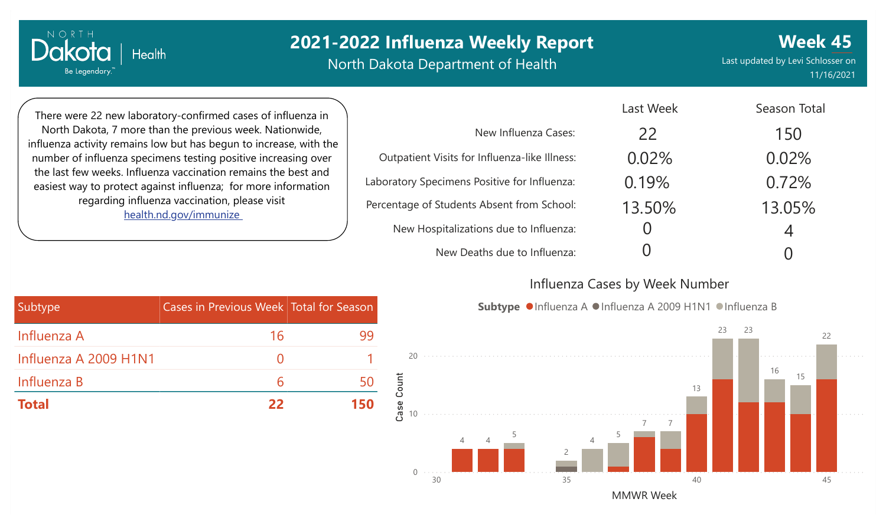# **2021-2022 Influenza Weekly Report**

North Dakota Department of Health

**Week 45** Last updated by Levi Schlosser on 11/16/2021

There were 22 new laboratory-confirmed cases of influenza in North Dakota, 7 more than the previous week. Nationwide, influenza activity remains low but has begun to increase, with the number of influenza specimens testing positive increasing over the last few weeks. Influenza vaccination remains the best and easiest way to protect against influenza; for more information regarding influenza vaccination, please visit [health.nd.gov/immunize](http://health.nd.gov/immunize)

**Health** 

NORTH

Dakota

Be Legendary.

|                                               | Last Week | Season Total |
|-----------------------------------------------|-----------|--------------|
| New Influenza Cases:                          | 22        | 150          |
| Outpatient Visits for Influenza-like Illness: | 0.02%     | 0.02%        |
| Laboratory Specimens Positive for Influenza:  | 0.19%     | 0.72%        |
| Percentage of Students Absent from School:    | 13.50%    | 13.05%       |
| New Hospitalizations due to Influenza:        |           | 4            |
| New Deaths due to Influenza:                  |           |              |

#### Influenza Cases by Week Number





| Subtype               | Cases in Previous Week Total for Season |     |
|-----------------------|-----------------------------------------|-----|
| Influenza A           | 16                                      | 99  |
| Influenza A 2009 H1N1 |                                         |     |
| Influenza B           | h                                       |     |
| <b>Total</b>          | フフ                                      | 150 |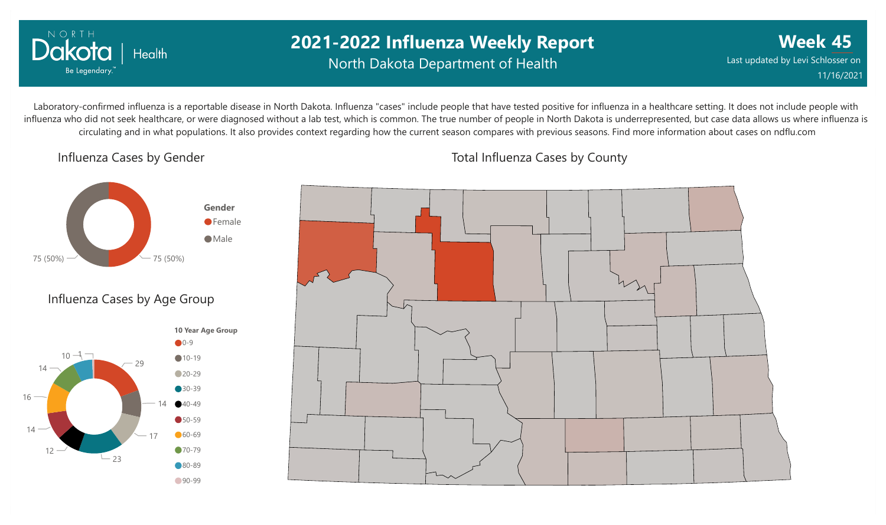

## **2021-2022 Influenza Weekly Report** North Dakota Department of Health

**Week 45** Last updated by Levi Schlosser on 11/16/2021

Laboratory-confirmed influenza is a reportable disease in North Dakota. Influenza "cases" include people that have tested positive for influenza in a healthcare setting. It does not include people with influenza who did not seek healthcare, or were diagnosed without a lab test, which is common. The true number of people in North Dakota is underrepresented, but case data allows us where influenza is circulating and in what populations. It also provides context regarding how the current season compares with previous seasons. Find more information about cases on ndflu.com

#### Influenza Cases by Gender



#### Influenza Cases by Age Group





#### Total Influenza Cases by County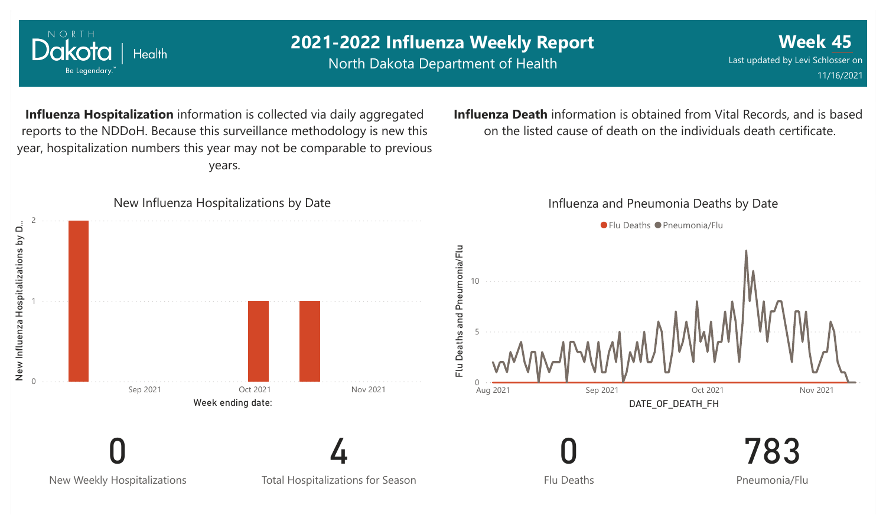

NORTH

Dakota

Be Legendary.

Health

### **2021-2022 Influenza Weekly Report** North Dakota Department of Health

**Week 45** Last updated by Levi Schlosser on 11/16/2021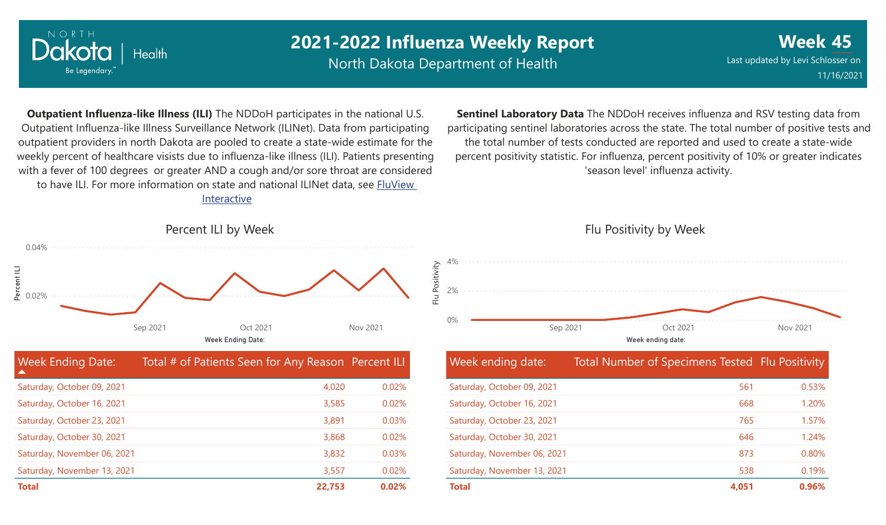

Saturday, November 06, 2021 Saturday, November 13, 2021

## **2021-2022 Influenza Weekly Report**

North Dakota Department of Health

**Week 45** Last updated by Levi Schlosser on 11/16/2021

**Outpatient Influenza-like Illness (ILI)** The NDDoH participates in the national U.S. Outpatient Influenza-like Illness Surveillance Network (ILINet). Data from participating outpatient providers in north Dakota are pooled to create a state-wide estimate for the weekly percent of healthcare visists due to influenza-like illness (ILI). Patients presenting with a fever of 100 degrees or greater AND a cough and/or sore throat are considered to have ILI. For more information [on state and national ILINet data, see FluView](http://fluview%20interactive/) Interactive

**Sentinel Laboratory Data** The NDDoH receives influenza and RSV testing data from participating sentinel laboratories across the state. The total number of positive tests and the total number of tests conducted are reported and used to create a state-wide percent positivity statistic. For influenza, percent positivity of 10% or greater indicates 'season level' influenza activity.



**Total 22,753 0.02%**

3,832 3,557

0.03% 0.02%

# Flu Positivity by Week



| Week ending date:           | Total Number of Specimens Tested Flu Positivity |       |
|-----------------------------|-------------------------------------------------|-------|
| Saturday, October 09, 2021  | 561                                             | 0.53% |
| Saturday, October 16, 2021  | 668                                             | 1.20% |
| Saturday, October 23, 2021  | 765                                             | 1.57% |
| Saturday, October 30, 2021  | 646                                             | 1.24% |
| Saturday, November 06, 2021 | 873                                             | 0.80% |
| Saturday, November 13, 2021 | 538                                             | 0.19% |
| <b>Total</b>                | 4.051                                           | 0.96% |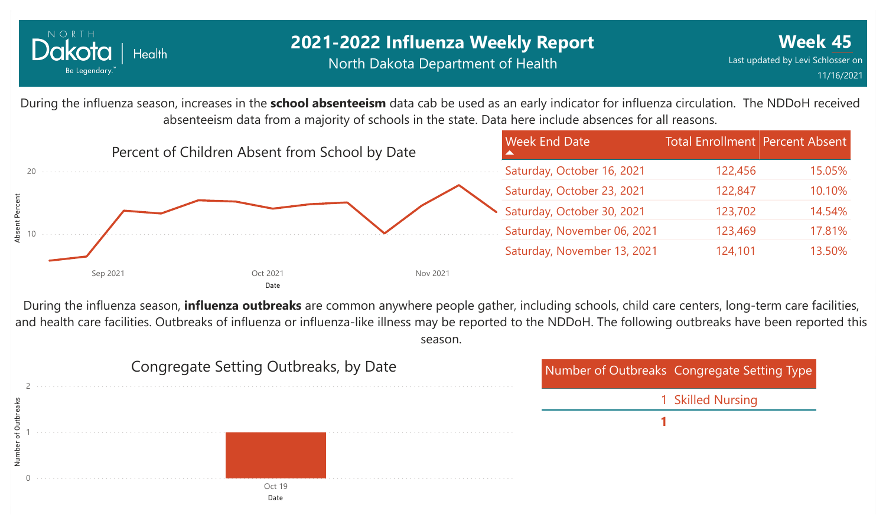

## **2021-2022 Influenza Weekly Report** North Dakota Department of Health

During the influenza season, increases in the **school absenteeism** data cab be used as an early indicator for influenza circulation. The NDDoH received absenteeism data from a majority of schools in the state. Data here include absences for all reasons.



During the influenza season, **influenza outbreaks** are common anywhere people gather, including schools, child care centers, long-term care facilities, and health care facilities. Outbreaks of influenza or influenza-like illness may be reported to the NDDoH. The following outbreaks have been reported this season.

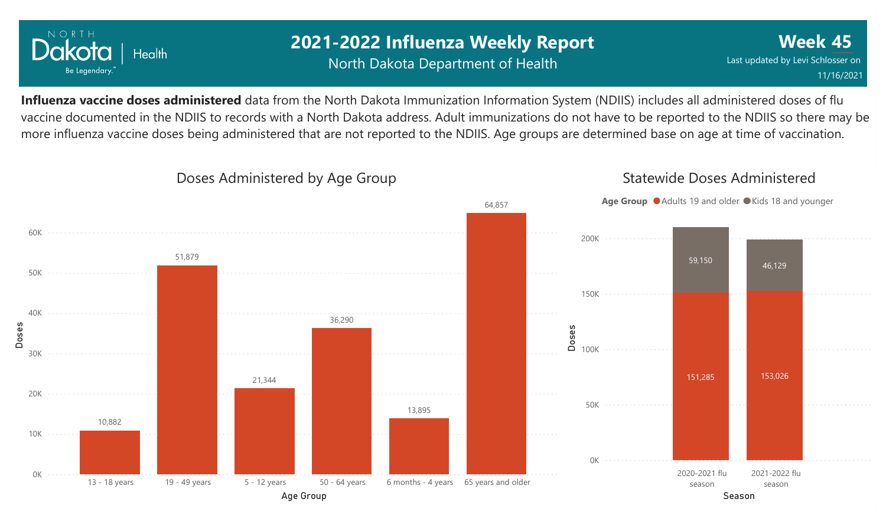

## **2021-2022 Influenza Weekly Report** North Dakota Department of Health

**Week 45** Last updated by Levi Schlosser on 11/16/2021

**Influenza vaccine doses administered** data from the North Dakota Immunization Information System (NDIIS) includes all administered doses of flu vaccine documented in the NDIIS to records with a North Dakota address. Adult immunizations do not have to be reported to the NDIIS so there may be more influenza vaccine doses being administered that are not reported to the NDIIS. Age groups are determined base on age at time of vaccination.

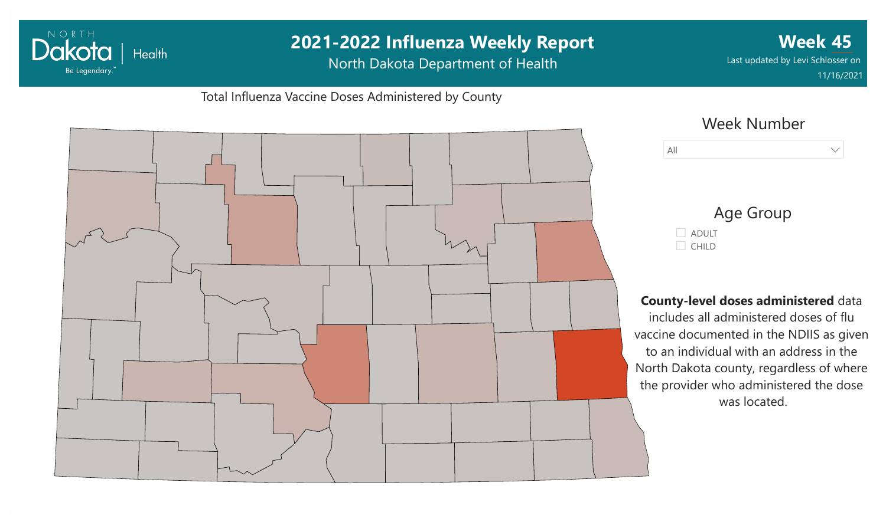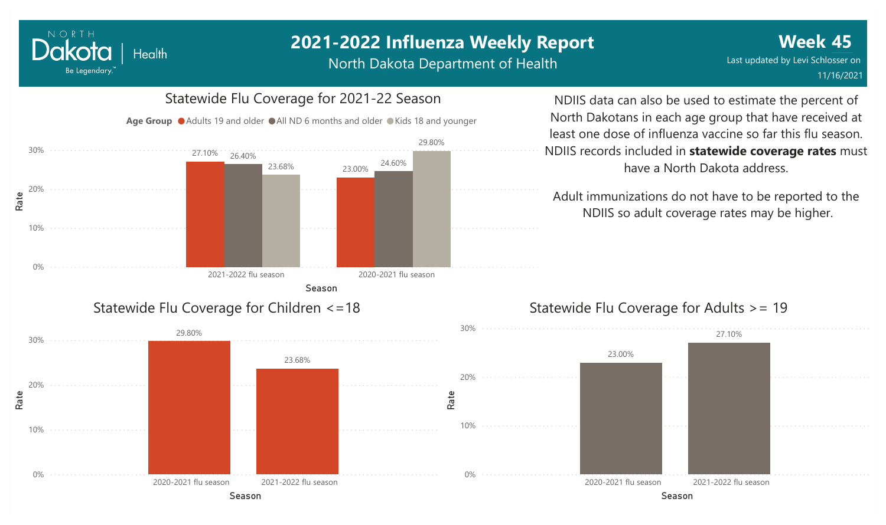# **2021-2022 Influenza Weekly Report**

North Dakota Department of Health



NORTH

Dakota

Be Legendary.

**Health** 

#### Statewide Flu Coverage for Adults >= 19

NDIIS data can also be used to estimate the percent of North Dakotans in each age group that have received at least one dose of influenza vaccine so far this flu season. NDIIS records included in **statewide coverage rates** must have a North Dakota address.

Adult immunizations do not have to be reported to the NDIIS so adult coverage rates may be higher.

Season Season 2020-2021 flu season 2021-2022 flu season 23.00% 27.10%